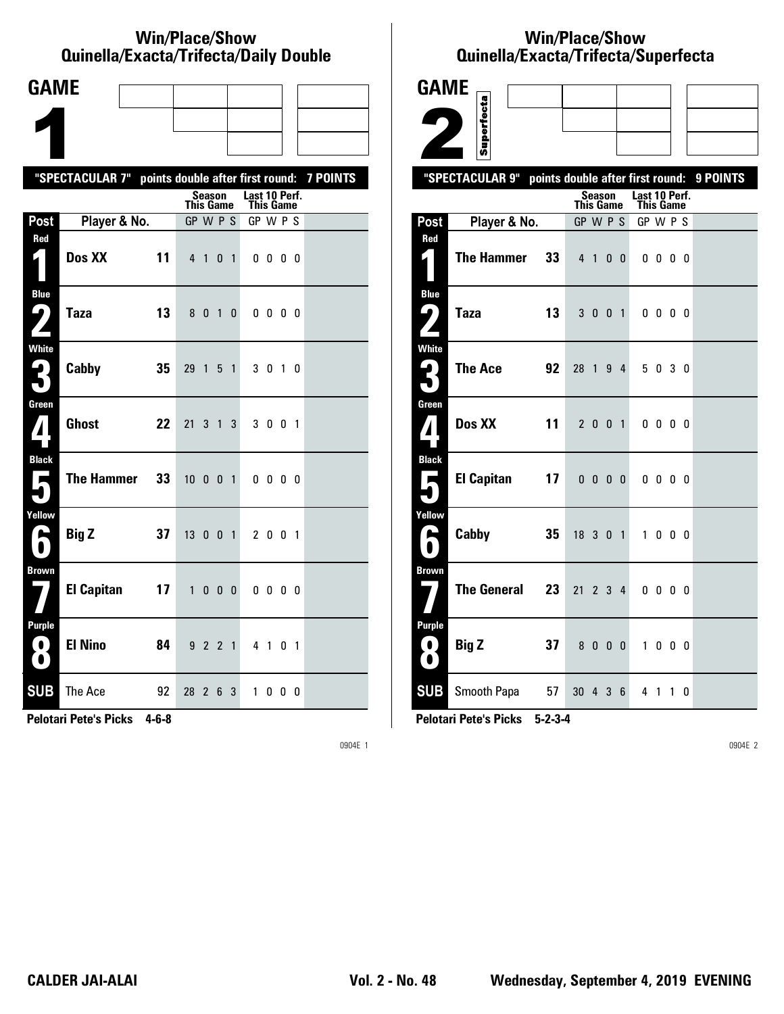#### **Win/Place/Show Quinella/Exacta/Trifecta/Daily Double**

| <b>GAME</b>                                                          |                                                           |    |                              |                |                |                   |                       |                          |   |     |  |
|----------------------------------------------------------------------|-----------------------------------------------------------|----|------------------------------|----------------|----------------|-------------------|-----------------------|--------------------------|---|-----|--|
|                                                                      |                                                           |    |                              |                |                |                   |                       |                          |   |     |  |
|                                                                      |                                                           |    |                              |                |                |                   |                       |                          |   |     |  |
|                                                                      | "SPECTACULAR 7" points double after first round: 7 POINTS |    |                              |                |                |                   |                       |                          |   |     |  |
|                                                                      |                                                           |    |                              | Season         |                |                   | Last 10 Perf.         |                          |   |     |  |
| Post                                                                 | Player & No.                                              |    | <b>This Game</b><br>GP W P S |                |                |                   | This Game<br>GP W P S |                          |   |     |  |
| Red<br>1                                                             | Dos XX                                                    | 11 |                              | 410            |                | $\overline{1}$    |                       | $0\,0\,0\,0$             |   |     |  |
| <b>Blue</b><br><b>( ما</b><br>Z,                                     | <b>Taza</b>                                               | 13 | 8 <sup>0</sup>               |                | $\overline{1}$ | $\mathbf{0}$      |                       | $0\,0\,0\,0$             |   |     |  |
| White<br>3                                                           | Cabby                                                     | 35 | 29                           | $\overline{1}$ | 5              | $\overline{1}$    |                       | 3 0 1 0                  |   |     |  |
| Green<br>$\mathbf{V}$                                                | <b>Ghost</b>                                              | 22 | 21                           |                | 3 1            | 3                 |                       | 3 0 0 1                  |   |     |  |
| <b>Black</b><br>$\overline{\phantom{a}}$                             | <b>The Hammer</b>                                         | 33 | 10001                        |                |                |                   |                       | $0\,0\,0\,0$             |   |     |  |
| Yellow<br>A                                                          | <b>Big Z</b>                                              | 37 | 13001                        |                |                |                   |                       | 2 0 0 1                  |   |     |  |
| <b>Brown</b>                                                         | <b>El Capitan</b>                                         | 17 | $\mathbf{1}$                 |                |                | $0\quad 0\quad 0$ |                       | $0\quad 0\quad 0\quad 0$ |   |     |  |
| Purple<br>$\left( \begin{array}{c} \bullet \end{array} \right)$<br>O | <b>El Nino</b>                                            | 84 |                              | 9 2 2 1        |                |                   |                       | 4 1 0 1                  |   |     |  |
| <b>SUB</b>                                                           | The Ace                                                   | 92 | 28                           | $\overline{2}$ | 6              | 3                 | 1                     | 0                        | 0 | - 0 |  |

**Pelotari Pete's Picks 4-6-8**

0904E 1

## **Win/Place/Show Qui nel la/Exacta/Tri fecta/Super fecta**



**Pelotari Pete's Picks 5-2-3-4**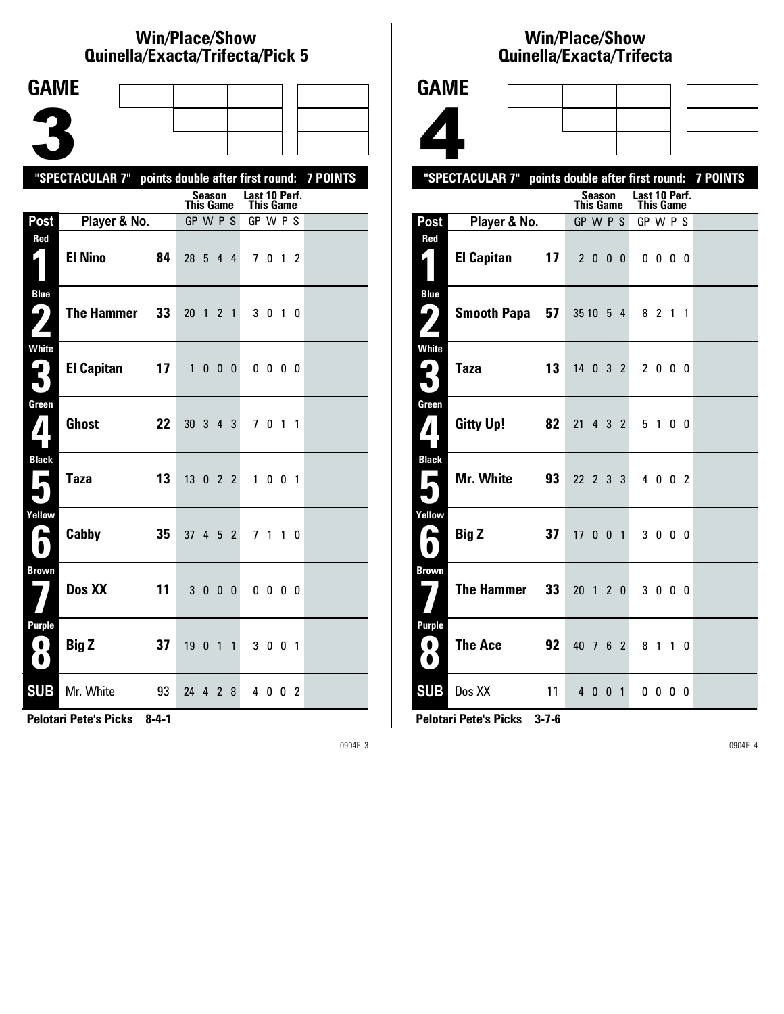### **Win/Place/Show Quinella/Exacta/Trifecta/Pick 5**

| <b>GAME</b>                    |                                                           |    |                              |               |                   |   |                |              |                |                          |  |
|--------------------------------|-----------------------------------------------------------|----|------------------------------|---------------|-------------------|---|----------------|--------------|----------------|--------------------------|--|
|                                |                                                           |    |                              |               |                   |   |                |              |                |                          |  |
|                                |                                                           |    |                              |               |                   |   |                |              |                |                          |  |
|                                |                                                           |    |                              |               |                   |   |                |              |                |                          |  |
|                                | "SPECTACULAR 7" points double after first round: 7 POINTS |    |                              | <b>Season</b> |                   |   | Last 10 Perf.  |              |                |                          |  |
| Post                           | Player & No.                                              |    | <b>This Game</b><br>GP W P S |               |                   |   | GP W P S       | This Game    |                |                          |  |
| Red                            |                                                           |    |                              |               |                   |   |                |              |                |                          |  |
| 1                              | <b>El Nino</b>                                            | 84 | 28 5 4 4                     |               |                   |   |                | 7 0 1 2      |                |                          |  |
| <b>Blue</b>                    |                                                           |    |                              |               |                   |   |                |              |                |                          |  |
| 9)                             | <b>The Hammer</b>                                         | 33 | 20 <sub>1</sub>              |               | 2 <sub>1</sub>    |   |                | 3 0 1 0      |                |                          |  |
| <b>White</b><br>2              | <b>El Capitan</b>                                         | 17 | 1                            |               | $0\quad 0\quad 0$ |   |                | $0\ 0\ 0\ 0$ |                |                          |  |
| $\blacksquare$                 |                                                           |    |                              |               |                   |   |                |              |                |                          |  |
| Green                          | <b>Ghost</b>                                              | 22 | $30$ $3$ $4$ $3$             |               |                   |   |                | 70           | $\overline{1}$ | $\overline{\phantom{a}}$ |  |
| <b>Black</b><br>$\blacksquare$ | <b>Taza</b>                                               | 13 | 13 0 2 2                     |               |                   |   |                | 1 0 0 1      |                |                          |  |
| Yellow<br>E                    | Cabby                                                     | 35 | 37                           |               | $4\quad 5\quad 2$ |   | 7 <sub>1</sub> |              |                | $1\quad0$                |  |
| <b>Brown</b>                   | Dos XX                                                    | 11 | 3                            | 0             | $\mathbf{0}$      | 0 |                | $0\,0\,0\,0$ |                |                          |  |
| Purple<br>.<br>$\bullet$       | <b>Big Z</b>                                              | 37 | 19                           | 0             | $1\quad1$         |   |                | 3 0 0 1      |                |                          |  |
| <b>SUB</b>                     | Mr. White                                                 | 93 | 24                           |               | 42                | 8 |                | 4 0 0 2      |                |                          |  |

**Pelotari Pete's Picks 8-4-1**

0904E 3

### **Win/Place/Show Qui nel la/Exacta/Tri fecta**



**Pelotari Pete's Picks 3-7-6**

**SUB** Dos XX 11 4 0 0 1 0 0 0 0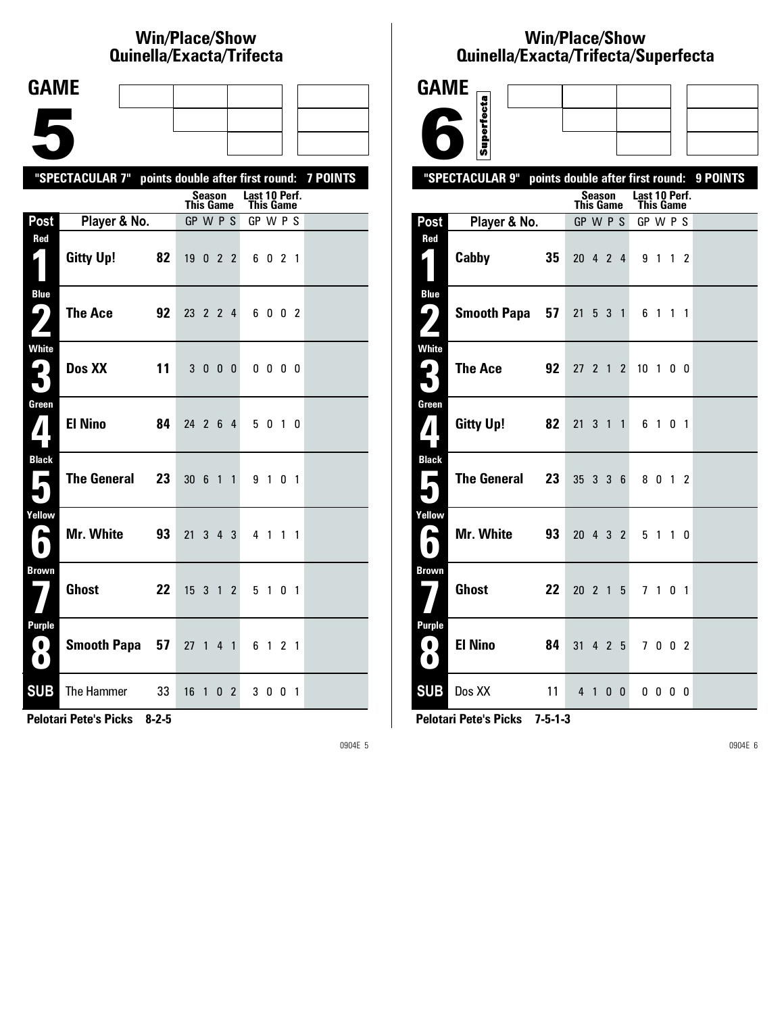# **Win/Place/Show Qui nel la/Exacta/Tri fecta**

| <b>GAME</b>                                                                                 |                                                           |    |                  |              |              |                |                            |              |   |                |  |
|---------------------------------------------------------------------------------------------|-----------------------------------------------------------|----|------------------|--------------|--------------|----------------|----------------------------|--------------|---|----------------|--|
|                                                                                             |                                                           |    |                  |              |              |                |                            |              |   |                |  |
|                                                                                             |                                                           |    |                  |              |              |                |                            |              |   |                |  |
|                                                                                             | "SPECTACULAR 7" points double after first round: 7 POINTS |    |                  |              |              |                |                            |              |   |                |  |
|                                                                                             |                                                           |    | <b>This Game</b> | Season       |              |                | Last 10 Perf.<br>This Game |              |   |                |  |
| Post                                                                                        | Player & No.                                              |    | GP W P S         |              |              |                | GP W P S                   |              |   |                |  |
| Red<br>1                                                                                    | <b>Gitty Up!</b>                                          | 82 | 19022            |              |              |                |                            | 6 0 2 1      |   |                |  |
| <b>Blue</b><br>$\boldsymbol{\Omega}$<br>$\overline{A}$                                      | The Ace                                                   | 92 | 23 2 2 4         |              |              |                |                            | 6002         |   |                |  |
| <b>White</b><br>3                                                                           | Dos XX                                                    | 11 |                  | 3 0 0 0      |              |                |                            | $0\,0\,0\,0$ |   |                |  |
| Green<br>$\mathbf{Z}$                                                                       | <b>El Nino</b>                                            | 84 | 24 2 6 4         |              |              |                |                            | 5 0 1 0      |   |                |  |
| <b>Black</b><br>$\overline{\phantom{a}}$<br>$\blacksquare$                                  | The General                                               | 23 | 30 6 1 1         |              |              |                |                            | 9 1 0 1      |   |                |  |
| Yellow<br>A                                                                                 | Mr. White                                                 | 93 | 21 3 4 3         |              |              |                |                            | 4 1 1 1      |   |                |  |
| <b>Brown</b>                                                                                | Ghost                                                     | 22 | $15 \t3 \t1$     |              |              | $\overline{2}$ |                            | 5 1 0 1      |   |                |  |
| <b>Purple</b><br>$\left( 0\right)$<br>$\left( \begin{array}{c} \bullet \end{array} \right)$ | Smooth Papa 57                                            |    | $27 \t1 \t4 \t1$ |              |              |                |                            | 6 1 2 1      |   |                |  |
| <b>SUB</b>                                                                                  | The Hammer                                                | 33 | 16               | $\mathbf{1}$ | $\mathbf{0}$ | $\mathbf{2}$   | 30                         |              | 0 | $\overline{1}$ |  |

**Pelotari Pete's Picks 8-2-5**

0904E 5

# **Win/Place/Show Qui nel la/Exacta/Tri fecta/Super fecta**

| <b>GAME</b>                                                     |                                                           |    |                  |               |              |   |                  |         |    |           |  |
|-----------------------------------------------------------------|-----------------------------------------------------------|----|------------------|---------------|--------------|---|------------------|---------|----|-----------|--|
|                                                                 | Superfecta                                                |    |                  |               |              |   |                  |         |    |           |  |
|                                                                 |                                                           |    |                  |               |              |   |                  |         |    |           |  |
|                                                                 | "SPECTACULAR 9" points double after first round: 9 POINTS |    |                  | <b>Season</b> |              |   | Last 10 Perf.    |         |    |           |  |
|                                                                 |                                                           |    | <b>This Game</b> |               |              |   | <b>This Game</b> |         |    |           |  |
| Post                                                            | Player & No.                                              |    | GP W P S         |               |              |   | GP W P S         |         |    |           |  |
| <b>Red</b><br>1                                                 | Cabby<br>35                                               |    | 20 4 2 4         |               |              |   | 9 1              |         |    | $1\quad2$ |  |
| <b>Blue</b><br>$\mathbf{\mathbf{\mathbf{\mathsf{\omega}}}}_{l}$ | Smooth Papa 57                                            |    | 21               |               | 5 3 1        |   |                  | 6 1 1 1 |    |           |  |
| <b>White</b>                                                    | <b>The Ace</b><br>92                                      |    | 27 2 1 2         |               |              |   | 10 1 0 0         |         |    |           |  |
| Green<br>$\boldsymbol{I}$                                       | Gitty Up!                                                 | 82 | 21               |               | 3 1 1        |   |                  | 6 1 0 1 |    |           |  |
| <b>Black</b><br>$\blacksquare$                                  | The General 23                                            |    | 35 3 3 6         |               |              |   |                  | 8 0 1 2 |    |           |  |
| Yellow<br>$\blacktriangleright$<br>$\bullet$                    | <b>Mr. White</b>                                          | 93 | 20 4 3 2         |               |              |   |                  | 5 1 1 0 |    |           |  |
| <b>Brown</b>                                                    | <b>Ghost</b>                                              | 22 | $20$ 2 1 5       |               |              |   |                  | 7 1 0 1 |    |           |  |
| <b>Purple</b><br>0)<br>$\bullet$                                | <b>El Nino</b>                                            | 84 | 31               |               | 4 2 5        |   |                  | 7 0 0 2 |    |           |  |
| <b>SUB</b>                                                      | Dos XX                                                    | 11 |                  | 4 1           | $\mathbf{0}$ | 0 |                  | 00      | 00 |           |  |

**Pelotari Pete's Picks 7-5-1-3**